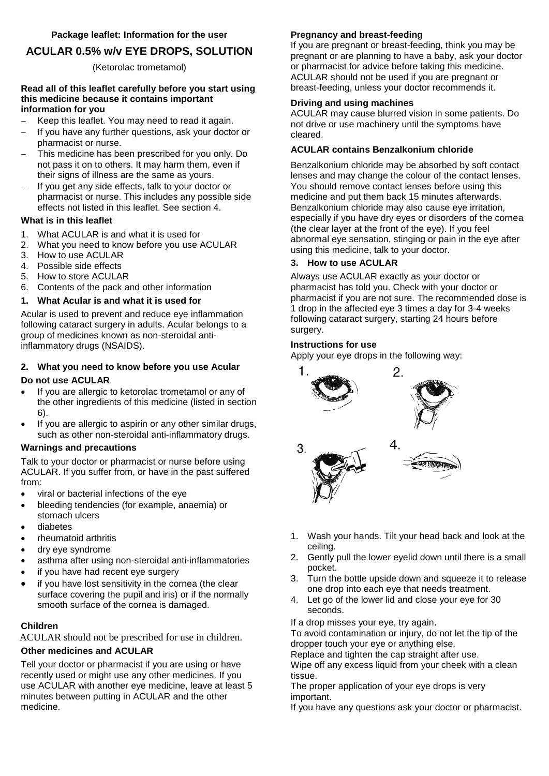# **ACULAR 0.5% w/v EYE DROPS, SOLUTION**

# (Ketorolac trometamol)

#### **Read all of this leaflet carefully before you start using this medicine because it contains important information for you**

- Keep this leaflet. You may need to read it again.
- If you have any further questions, ask your doctor or pharmacist or nurse.
- This medicine has been prescribed for you only. Do not pass it on to others. It may harm them, even if their signs of illness are the same as yours.
- If you get any side effects, talk to your doctor or pharmacist or nurse. This includes any possible side effects not listed in this leaflet. See section 4.

# **What is in this leaflet**

- 1. What ACULAR is and what it is used for
- 2. What you need to know before you use ACULAR
- 3. How to use ACULAR
- 4. Possible side effects
- 5. How to store ACULAR
- 6. Contents of the pack and other information

# **1. What Acular is and what it is used for**

Acular is used to prevent and reduce eye inflammation following cataract surgery in adults. Acular belongs to a group of medicines known as non-steroidal antiinflammatory drugs (NSAIDS).

# **2. What you need to know before you use Acular**

## **Do not use ACULAR**

- If you are allergic to ketorolac trometamol or any of the other ingredients of this medicine (listed in section 6).
- If you are allergic to aspirin or any other similar drugs, such as other non-steroidal anti-inflammatory drugs.

## **Warnings and precautions**

Talk to your doctor or pharmacist or nurse before using ACULAR. If you suffer from, or have in the past suffered from:

- viral or bacterial infections of the eye
- bleeding tendencies (for example, anaemia) or stomach ulcers
- diabetes
- rheumatoid arthritis
- dry eye syndrome
- asthma after using non-steroidal anti-inflammatories
- if you have had recent eye surgery
- if you have lost sensitivity in the cornea (the clear surface covering the pupil and iris) or if the normally smooth surface of the cornea is damaged.

# **Children**

ACULAR should not be prescribed for use in children.

# **Other medicines and ACULAR**

Tell your doctor or pharmacist if you are using or have recently used or might use any other medicines. If you use ACULAR with another eye medicine, leave at least 5 minutes between putting in ACULAR and the other medicine.

# **Pregnancy and breast-feeding**

If you are pregnant or breast-feeding, think you may be pregnant or are planning to have a baby, ask your doctor or pharmacist for advice before taking this medicine. ACULAR should not be used if you are pregnant or breast-feeding, unless your doctor recommends it.

## **Driving and using machines**

ACULAR may cause blurred vision in some patients. Do not drive or use machinery until the symptoms have cleared.

## **ACULAR contains Benzalkonium chloride**

Benzalkonium chloride may be absorbed by soft contact lenses and may change the colour of the contact lenses. You should remove contact lenses before using this medicine and put them back 15 minutes afterwards. Benzalkonium chloride may also cause eye irritation, especially if you have dry eyes or disorders of the cornea (the clear layer at the front of the eye). If you feel abnormal eye sensation, stinging or pain in the eye after using this medicine, talk to your doctor.

## **3. How to use ACULAR**

Always use ACULAR exactly as your doctor or pharmacist has told you. Check with your doctor or pharmacist if you are not sure. The recommended dose is 1 drop in the affected eye 3 times a day for 3-4 weeks following cataract surgery, starting 24 hours before surgery.

## **Instructions for use**

Apply your eye drops in the following way:



- 1. Wash your hands. Tilt your head back and look at the ceiling.
- 2. Gently pull the lower eyelid down until there is a small pocket.
- 3. Turn the bottle upside down and squeeze it to release one drop into each eye that needs treatment.
- 4. Let go of the lower lid and close your eye for 30 seconds.

If a drop misses your eye, try again.

To avoid contamination or injury, do not let the tip of the dropper touch your eye or anything else.

Replace and tighten the cap straight after use.

Wipe off any excess liquid from your cheek with a clean tissue.

The proper application of your eye drops is very important.

If you have any questions ask your doctor or pharmacist.